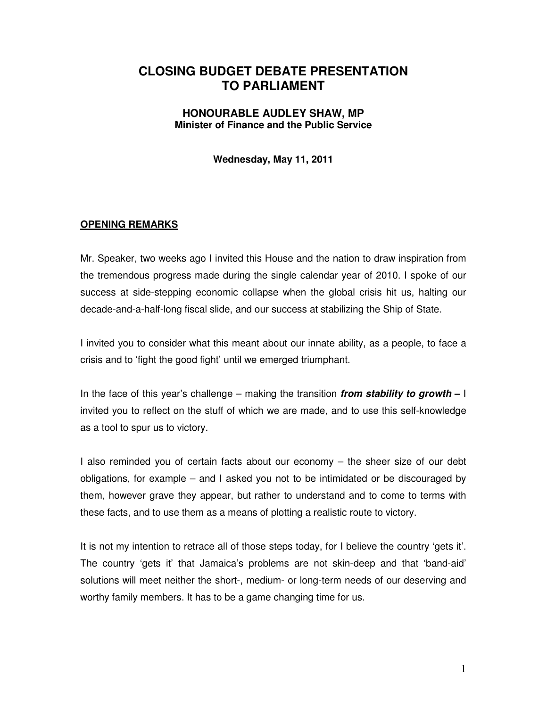# **CLOSING BUDGET DEBATE PRESENTATION TO PARLIAMENT**

#### **HONOURABLE AUDLEY SHAW, MP Minister of Finance and the Public Service**

**Wednesday, May 11, 2011** 

#### **OPENING REMARKS**

Mr. Speaker, two weeks ago I invited this House and the nation to draw inspiration from the tremendous progress made during the single calendar year of 2010. I spoke of our success at side-stepping economic collapse when the global crisis hit us, halting our decade-and-a-half-long fiscal slide, and our success at stabilizing the Ship of State.

I invited you to consider what this meant about our innate ability, as a people, to face a crisis and to 'fight the good fight' until we emerged triumphant.

In the face of this year's challenge – making the transition **from stability to growth –** I invited you to reflect on the stuff of which we are made, and to use this self-knowledge as a tool to spur us to victory.

I also reminded you of certain facts about our economy – the sheer size of our debt obligations, for example – and I asked you not to be intimidated or be discouraged by them, however grave they appear, but rather to understand and to come to terms with these facts, and to use them as a means of plotting a realistic route to victory.

It is not my intention to retrace all of those steps today, for I believe the country 'gets it'. The country 'gets it' that Jamaica's problems are not skin-deep and that 'band-aid' solutions will meet neither the short-, medium- or long-term needs of our deserving and worthy family members. It has to be a game changing time for us.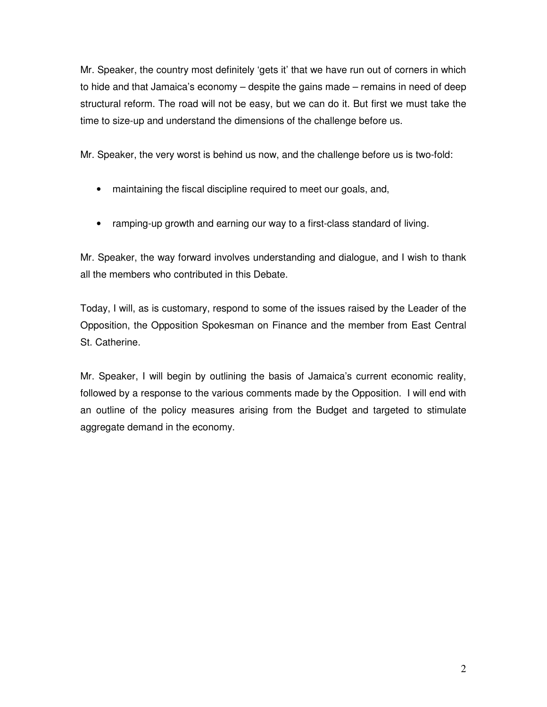Mr. Speaker, the country most definitely 'gets it' that we have run out of corners in which to hide and that Jamaica's economy – despite the gains made – remains in need of deep structural reform. The road will not be easy, but we can do it. But first we must take the time to size-up and understand the dimensions of the challenge before us.

Mr. Speaker, the very worst is behind us now, and the challenge before us is two-fold:

- maintaining the fiscal discipline required to meet our goals, and,
- ramping-up growth and earning our way to a first-class standard of living.

Mr. Speaker, the way forward involves understanding and dialogue, and I wish to thank all the members who contributed in this Debate.

Today, I will, as is customary, respond to some of the issues raised by the Leader of the Opposition, the Opposition Spokesman on Finance and the member from East Central St. Catherine.

Mr. Speaker, I will begin by outlining the basis of Jamaica's current economic reality, followed by a response to the various comments made by the Opposition. I will end with an outline of the policy measures arising from the Budget and targeted to stimulate aggregate demand in the economy.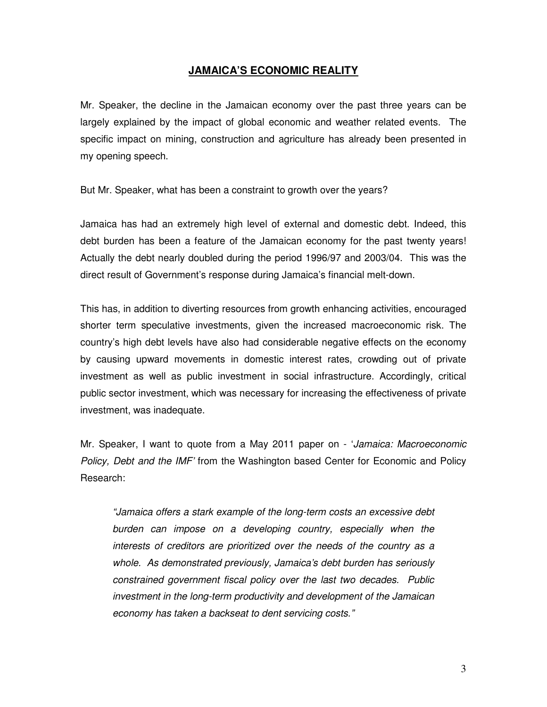#### **JAMAICA'S ECONOMIC REALITY**

Mr. Speaker, the decline in the Jamaican economy over the past three years can be largely explained by the impact of global economic and weather related events. The specific impact on mining, construction and agriculture has already been presented in my opening speech.

But Mr. Speaker, what has been a constraint to growth over the years?

Jamaica has had an extremely high level of external and domestic debt. Indeed, this debt burden has been a feature of the Jamaican economy for the past twenty years! Actually the debt nearly doubled during the period 1996/97 and 2003/04. This was the direct result of Government's response during Jamaica's financial melt-down.

This has, in addition to diverting resources from growth enhancing activities, encouraged shorter term speculative investments, given the increased macroeconomic risk. The country's high debt levels have also had considerable negative effects on the economy by causing upward movements in domestic interest rates, crowding out of private investment as well as public investment in social infrastructure. Accordingly, critical public sector investment, which was necessary for increasing the effectiveness of private investment, was inadequate.

Mr. Speaker, I want to quote from a May 2011 paper on - 'Jamaica: Macroeconomic Policy, Debt and the IMF' from the Washington based Center for Economic and Policy Research:

"Jamaica offers a stark example of the long-term costs an excessive debt burden can impose on a developing country, especially when the interests of creditors are prioritized over the needs of the country as a whole. As demonstrated previously, Jamaica's debt burden has seriously constrained government fiscal policy over the last two decades. Public investment in the long-term productivity and development of the Jamaican economy has taken a backseat to dent servicing costs."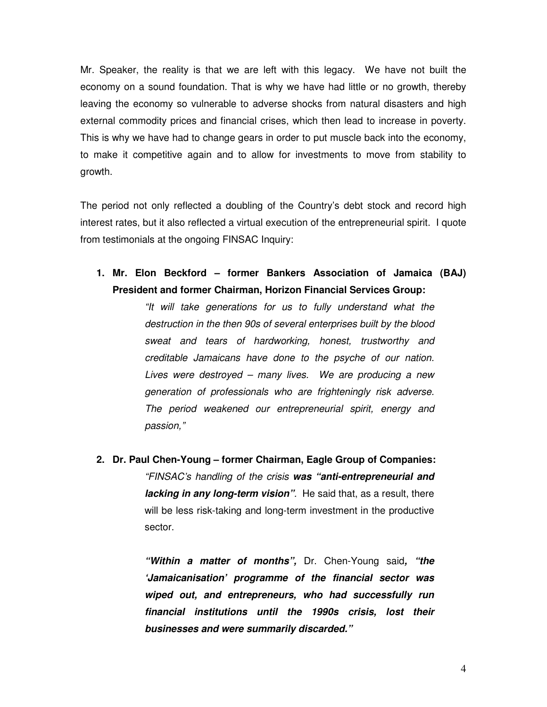Mr. Speaker, the reality is that we are left with this legacy. We have not built the economy on a sound foundation. That is why we have had little or no growth, thereby leaving the economy so vulnerable to adverse shocks from natural disasters and high external commodity prices and financial crises, which then lead to increase in poverty. This is why we have had to change gears in order to put muscle back into the economy, to make it competitive again and to allow for investments to move from stability to growth.

The period not only reflected a doubling of the Country's debt stock and record high interest rates, but it also reflected a virtual execution of the entrepreneurial spirit. I quote from testimonials at the ongoing FINSAC Inquiry:

**1. Mr. Elon Beckford – former Bankers Association of Jamaica (BAJ) President and former Chairman, Horizon Financial Services Group:** 

> "It will take generations for us to fully understand what the destruction in the then 90s of several enterprises built by the blood sweat and tears of hardworking, honest, trustworthy and creditable Jamaicans have done to the psyche of our nation. Lives were destroyed – many lives. We are producing a new generation of professionals who are frighteningly risk adverse. The period weakened our entrepreneurial spirit, energy and passion,"

**2. Dr. Paul Chen-Young – former Chairman, Eagle Group of Companies:**  "FINSAC's handling of the crisis **was "anti-entrepreneurial and lacking in any long-term vision"**. He said that, as a result, there will be less risk-taking and long-term investment in the productive sector.

> **"Within a matter of months",** Dr. Chen-Young said**, "the 'Jamaicanisation' programme of the financial sector was wiped out, and entrepreneurs, who had successfully run financial institutions until the 1990s crisis, lost their businesses and were summarily discarded."**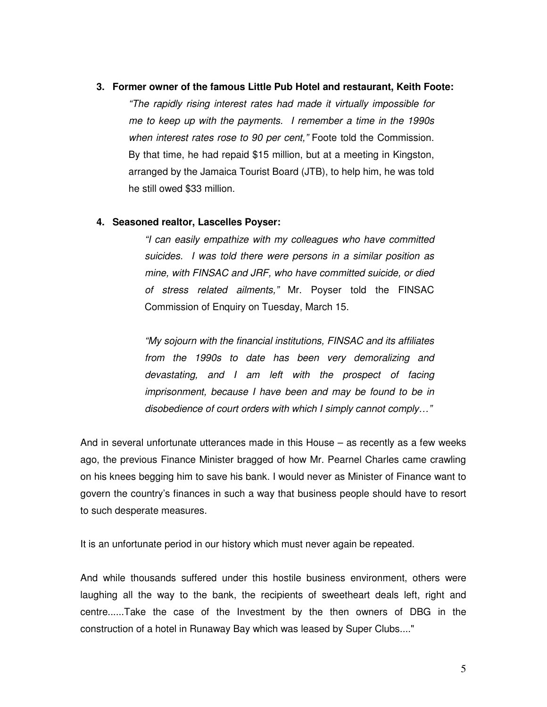#### **3. Former owner of the famous Little Pub Hotel and restaurant, Keith Foote:**

"The rapidly rising interest rates had made it virtually impossible for me to keep up with the payments. I remember a time in the 1990s when interest rates rose to 90 per cent," Foote told the Commission. By that time, he had repaid \$15 million, but at a meeting in Kingston, arranged by the Jamaica Tourist Board (JTB), to help him, he was told he still owed \$33 million.

#### **4. Seasoned realtor, Lascelles Poyser:**

"I can easily empathize with my colleagues who have committed suicides. I was told there were persons in a similar position as mine, with FINSAC and JRF, who have committed suicide, or died of stress related ailments," Mr. Poyser told the FINSAC Commission of Enquiry on Tuesday, March 15.

"My sojourn with the financial institutions, FINSAC and its affiliates from the 1990s to date has been very demoralizing and devastating, and I am left with the prospect of facing imprisonment, because I have been and may be found to be in disobedience of court orders with which I simply cannot comply…"

And in several unfortunate utterances made in this House – as recently as a few weeks ago, the previous Finance Minister bragged of how Mr. Pearnel Charles came crawling on his knees begging him to save his bank. I would never as Minister of Finance want to govern the country's finances in such a way that business people should have to resort to such desperate measures.

It is an unfortunate period in our history which must never again be repeated.

And while thousands suffered under this hostile business environment, others were laughing all the way to the bank, the recipients of sweetheart deals left, right and centre......Take the case of the Investment by the then owners of DBG in the construction of a hotel in Runaway Bay which was leased by Super Clubs...."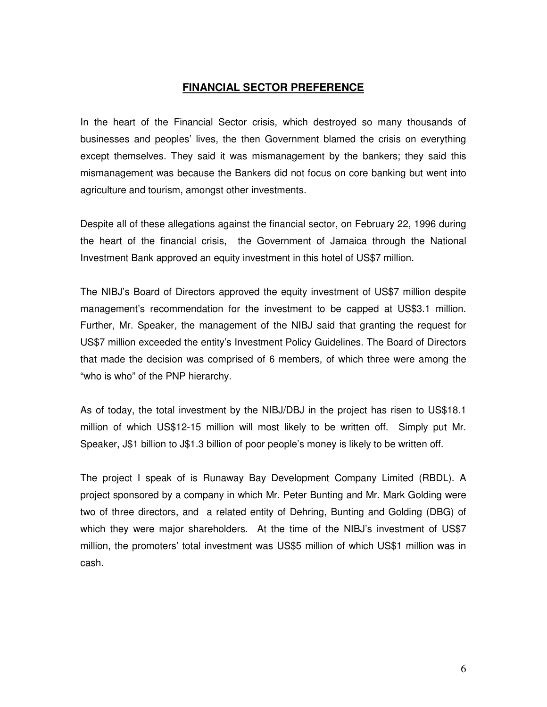#### **FINANCIAL SECTOR PREFERENCE**

In the heart of the Financial Sector crisis, which destroyed so many thousands of businesses and peoples' lives, the then Government blamed the crisis on everything except themselves. They said it was mismanagement by the bankers; they said this mismanagement was because the Bankers did not focus on core banking but went into agriculture and tourism, amongst other investments.

Despite all of these allegations against the financial sector, on February 22, 1996 during the heart of the financial crisis, the Government of Jamaica through the National Investment Bank approved an equity investment in this hotel of US\$7 million.

The NIBJ's Board of Directors approved the equity investment of US\$7 million despite management's recommendation for the investment to be capped at US\$3.1 million. Further, Mr. Speaker, the management of the NIBJ said that granting the request for US\$7 million exceeded the entity's Investment Policy Guidelines. The Board of Directors that made the decision was comprised of 6 members, of which three were among the "who is who" of the PNP hierarchy.

As of today, the total investment by the NIBJ/DBJ in the project has risen to US\$18.1 million of which US\$12-15 million will most likely to be written off. Simply put Mr. Speaker, J\$1 billion to J\$1.3 billion of poor people's money is likely to be written off.

The project I speak of is Runaway Bay Development Company Limited (RBDL). A project sponsored by a company in which Mr. Peter Bunting and Mr. Mark Golding were two of three directors, and a related entity of Dehring, Bunting and Golding (DBG) of which they were major shareholders. At the time of the NIBJ's investment of US\$7 million, the promoters' total investment was US\$5 million of which US\$1 million was in cash.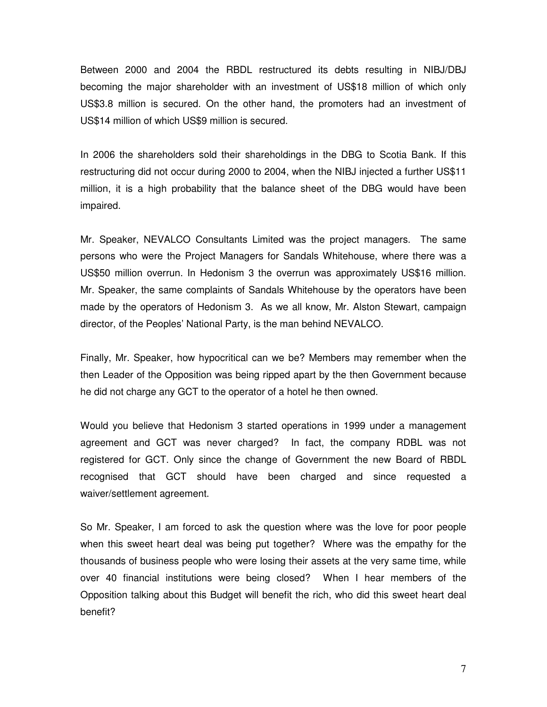Between 2000 and 2004 the RBDL restructured its debts resulting in NIBJ/DBJ becoming the major shareholder with an investment of US\$18 million of which only US\$3.8 million is secured. On the other hand, the promoters had an investment of US\$14 million of which US\$9 million is secured.

In 2006 the shareholders sold their shareholdings in the DBG to Scotia Bank. If this restructuring did not occur during 2000 to 2004, when the NIBJ injected a further US\$11 million, it is a high probability that the balance sheet of the DBG would have been impaired.

Mr. Speaker, NEVALCO Consultants Limited was the project managers. The same persons who were the Project Managers for Sandals Whitehouse, where there was a US\$50 million overrun. In Hedonism 3 the overrun was approximately US\$16 million. Mr. Speaker, the same complaints of Sandals Whitehouse by the operators have been made by the operators of Hedonism 3. As we all know, Mr. Alston Stewart, campaign director, of the Peoples' National Party, is the man behind NEVALCO.

Finally, Mr. Speaker, how hypocritical can we be? Members may remember when the then Leader of the Opposition was being ripped apart by the then Government because he did not charge any GCT to the operator of a hotel he then owned.

Would you believe that Hedonism 3 started operations in 1999 under a management agreement and GCT was never charged? In fact, the company RDBL was not registered for GCT. Only since the change of Government the new Board of RBDL recognised that GCT should have been charged and since requested a waiver/settlement agreement.

So Mr. Speaker, I am forced to ask the question where was the love for poor people when this sweet heart deal was being put together? Where was the empathy for the thousands of business people who were losing their assets at the very same time, while over 40 financial institutions were being closed? When I hear members of the Opposition talking about this Budget will benefit the rich, who did this sweet heart deal benefit?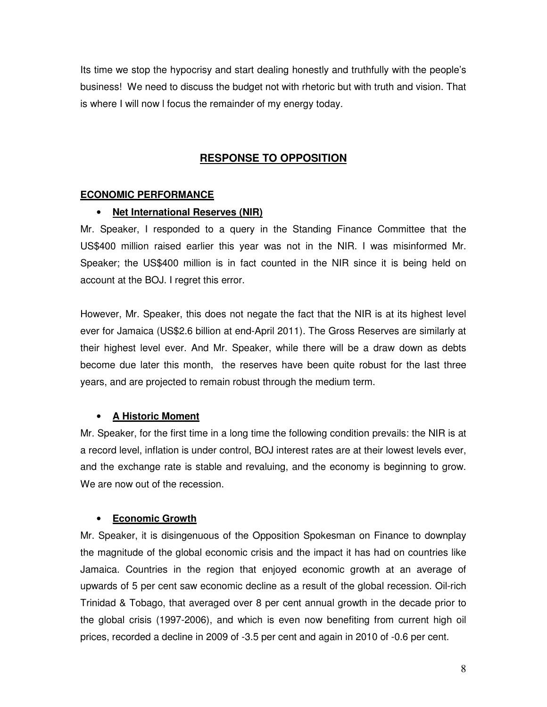Its time we stop the hypocrisy and start dealing honestly and truthfully with the people's business! We need to discuss the budget not with rhetoric but with truth and vision. That is where I will now l focus the remainder of my energy today.

# **RESPONSE TO OPPOSITION**

# **ECONOMIC PERFORMANCE**

#### • **Net International Reserves (NIR)**

Mr. Speaker, I responded to a query in the Standing Finance Committee that the US\$400 million raised earlier this year was not in the NIR. I was misinformed Mr. Speaker; the US\$400 million is in fact counted in the NIR since it is being held on account at the BOJ. I regret this error.

However, Mr. Speaker, this does not negate the fact that the NIR is at its highest level ever for Jamaica (US\$2.6 billion at end-April 2011). The Gross Reserves are similarly at their highest level ever. And Mr. Speaker, while there will be a draw down as debts become due later this month, the reserves have been quite robust for the last three years, and are projected to remain robust through the medium term.

# • **A Historic Moment**

Mr. Speaker, for the first time in a long time the following condition prevails: the NIR is at a record level, inflation is under control, BOJ interest rates are at their lowest levels ever, and the exchange rate is stable and revaluing, and the economy is beginning to grow. We are now out of the recession.

# • **Economic Growth**

Mr. Speaker, it is disingenuous of the Opposition Spokesman on Finance to downplay the magnitude of the global economic crisis and the impact it has had on countries like Jamaica. Countries in the region that enjoyed economic growth at an average of upwards of 5 per cent saw economic decline as a result of the global recession. Oil-rich Trinidad & Tobago, that averaged over 8 per cent annual growth in the decade prior to the global crisis (1997-2006), and which is even now benefiting from current high oil prices, recorded a decline in 2009 of -3.5 per cent and again in 2010 of -0.6 per cent.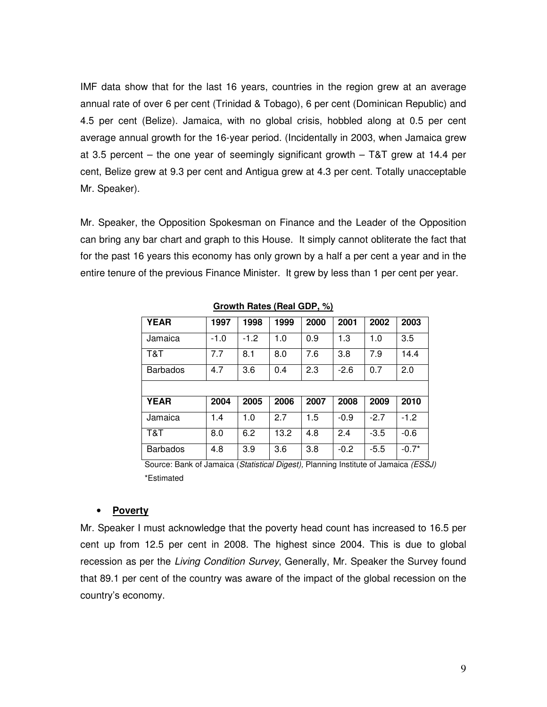IMF data show that for the last 16 years, countries in the region grew at an average annual rate of over 6 per cent (Trinidad & Tobago), 6 per cent (Dominican Republic) and 4.5 per cent (Belize). Jamaica, with no global crisis, hobbled along at 0.5 per cent average annual growth for the 16-year period. (Incidentally in 2003, when Jamaica grew at 3.5 percent – the one year of seemingly significant growth – T&T grew at 14.4 per cent, Belize grew at 9.3 per cent and Antigua grew at 4.3 per cent. Totally unacceptable Mr. Speaker).

Mr. Speaker, the Opposition Spokesman on Finance and the Leader of the Opposition can bring any bar chart and graph to this House. It simply cannot obliterate the fact that for the past 16 years this economy has only grown by a half a per cent a year and in the entire tenure of the previous Finance Minister. It grew by less than 1 per cent per year.

| <b>YEAR</b>     | 1997   | 1998   | 1999 | 2000 | 2001   | 2002   | 2003    |
|-----------------|--------|--------|------|------|--------|--------|---------|
| Jamaica         | $-1.0$ | $-1.2$ | 1.0  | 0.9  | 1.3    | 1.0    | 3.5     |
| T&T             | 7.7    | 8.1    | 8.0  | 7.6  | 3.8    | 7.9    | 14.4    |
| <b>Barbados</b> | 4.7    | 3.6    | 0.4  | 2.3  | $-2.6$ | 0.7    | 2.0     |
|                 |        |        |      |      |        |        |         |
| <b>YEAR</b>     | 2004   | 2005   | 2006 | 2007 | 2008   | 2009   | 2010    |
| Jamaica         | 1.4    | 1.0    | 2.7  | 1.5  | $-0.9$ | $-2.7$ | $-1.2$  |
| T&T             | 8.0    | 6.2    | 13.2 | 4.8  | 2.4    | $-3.5$ | $-0.6$  |
| <b>Barbados</b> | 4.8    | 3.9    | 3.6  | 3.8  | $-0.2$ | $-5.5$ | $-0.7*$ |

**Growth Rates (Real GDP, %)** 

Source: Bank of Jamaica (Statistical Digest), Planning Institute of Jamaica (ESSJ) \*Estimated

#### • **Poverty**

Mr. Speaker I must acknowledge that the poverty head count has increased to 16.5 per cent up from 12.5 per cent in 2008. The highest since 2004. This is due to global recession as per the Living Condition Survey, Generally, Mr. Speaker the Survey found that 89.1 per cent of the country was aware of the impact of the global recession on the country's economy.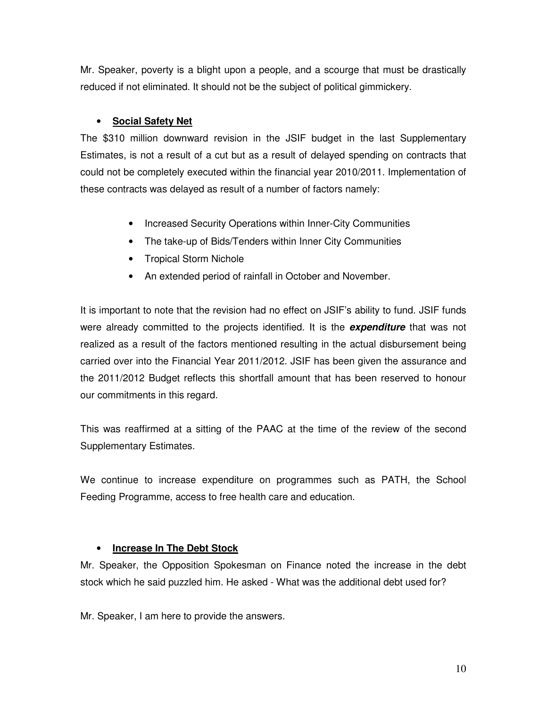Mr. Speaker, poverty is a blight upon a people, and a scourge that must be drastically reduced if not eliminated. It should not be the subject of political gimmickery.

# • **Social Safety Net**

The \$310 million downward revision in the JSIF budget in the last Supplementary Estimates, is not a result of a cut but as a result of delayed spending on contracts that could not be completely executed within the financial year 2010/2011. Implementation of these contracts was delayed as result of a number of factors namely:

- Increased Security Operations within Inner-City Communities
- The take-up of Bids/Tenders within Inner City Communities
- Tropical Storm Nichole
- An extended period of rainfall in October and November.

It is important to note that the revision had no effect on JSIF's ability to fund. JSIF funds were already committed to the projects identified. It is the **expenditure** that was not realized as a result of the factors mentioned resulting in the actual disbursement being carried over into the Financial Year 2011/2012. JSIF has been given the assurance and the 2011/2012 Budget reflects this shortfall amount that has been reserved to honour our commitments in this regard.

This was reaffirmed at a sitting of the PAAC at the time of the review of the second Supplementary Estimates.

We continue to increase expenditure on programmes such as PATH, the School Feeding Programme, access to free health care and education.

# • **Increase In The Debt Stock**

Mr. Speaker, the Opposition Spokesman on Finance noted the increase in the debt stock which he said puzzled him. He asked - What was the additional debt used for?

Mr. Speaker, I am here to provide the answers.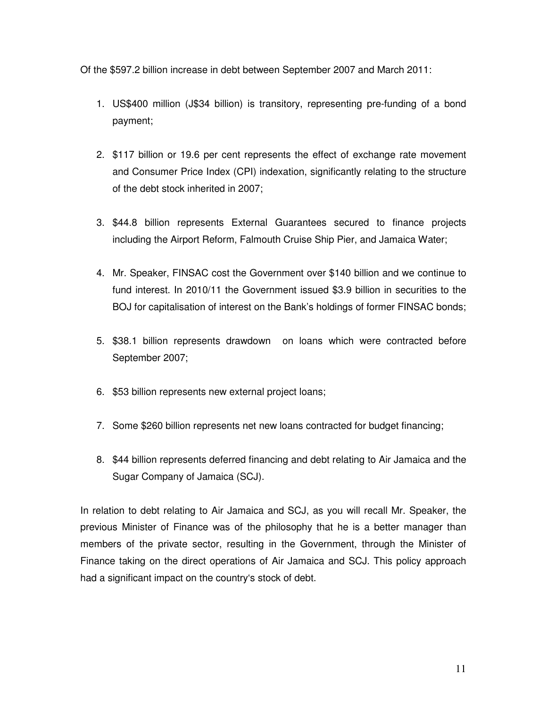Of the \$597.2 billion increase in debt between September 2007 and March 2011:

- 1. US\$400 million (J\$34 billion) is transitory, representing pre-funding of a bond payment;
- 2. \$117 billion or 19.6 per cent represents the effect of exchange rate movement and Consumer Price Index (CPI) indexation, significantly relating to the structure of the debt stock inherited in 2007;
- 3. \$44.8 billion represents External Guarantees secured to finance projects including the Airport Reform, Falmouth Cruise Ship Pier, and Jamaica Water;
- 4. Mr. Speaker, FINSAC cost the Government over \$140 billion and we continue to fund interest. In 2010/11 the Government issued \$3.9 billion in securities to the BOJ for capitalisation of interest on the Bank's holdings of former FINSAC bonds;
- 5. \$38.1 billion represents drawdown on loans which were contracted before September 2007;
- 6. \$53 billion represents new external project loans;
- 7. Some \$260 billion represents net new loans contracted for budget financing;
- 8. \$44 billion represents deferred financing and debt relating to Air Jamaica and the Sugar Company of Jamaica (SCJ).

In relation to debt relating to Air Jamaica and SCJ, as you will recall Mr. Speaker, the previous Minister of Finance was of the philosophy that he is a better manager than members of the private sector, resulting in the Government, through the Minister of Finance taking on the direct operations of Air Jamaica and SCJ. This policy approach had a significant impact on the country's stock of debt.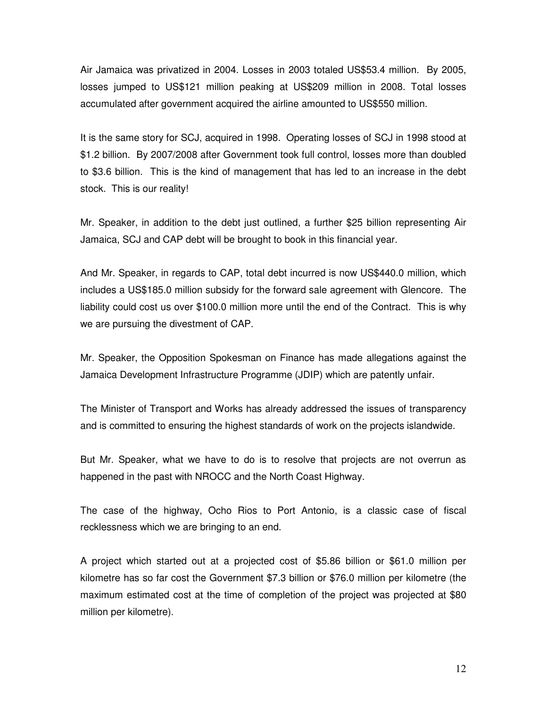Air Jamaica was privatized in 2004. Losses in 2003 totaled US\$53.4 million. By 2005, losses jumped to US\$121 million peaking at US\$209 million in 2008. Total losses accumulated after government acquired the airline amounted to US\$550 million.

It is the same story for SCJ, acquired in 1998. Operating losses of SCJ in 1998 stood at \$1.2 billion. By 2007/2008 after Government took full control, losses more than doubled to \$3.6 billion. This is the kind of management that has led to an increase in the debt stock. This is our reality!

Mr. Speaker, in addition to the debt just outlined, a further \$25 billion representing Air Jamaica, SCJ and CAP debt will be brought to book in this financial year.

And Mr. Speaker, in regards to CAP, total debt incurred is now US\$440.0 million, which includes a US\$185.0 million subsidy for the forward sale agreement with Glencore. The liability could cost us over \$100.0 million more until the end of the Contract. This is why we are pursuing the divestment of CAP.

Mr. Speaker, the Opposition Spokesman on Finance has made allegations against the Jamaica Development Infrastructure Programme (JDIP) which are patently unfair.

The Minister of Transport and Works has already addressed the issues of transparency and is committed to ensuring the highest standards of work on the projects islandwide.

But Mr. Speaker, what we have to do is to resolve that projects are not overrun as happened in the past with NROCC and the North Coast Highway.

The case of the highway, Ocho Rios to Port Antonio, is a classic case of fiscal recklessness which we are bringing to an end.

A project which started out at a projected cost of \$5.86 billion or \$61.0 million per kilometre has so far cost the Government \$7.3 billion or \$76.0 million per kilometre (the maximum estimated cost at the time of completion of the project was projected at \$80 million per kilometre).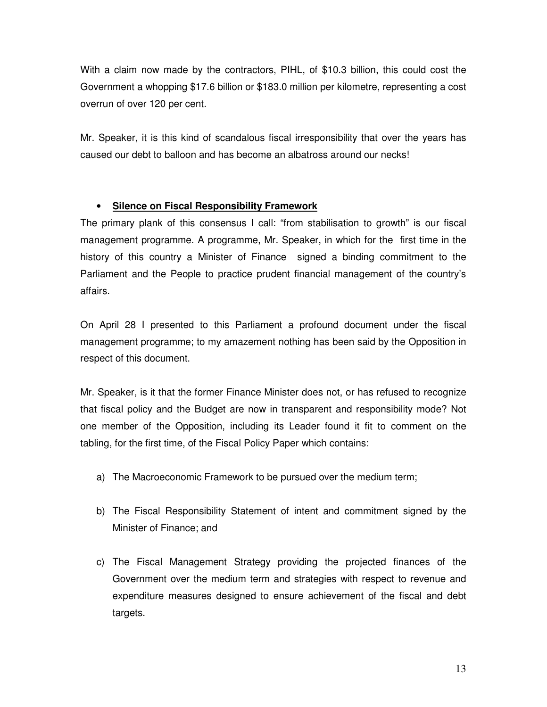With a claim now made by the contractors, PIHL, of \$10.3 billion, this could cost the Government a whopping \$17.6 billion or \$183.0 million per kilometre, representing a cost overrun of over 120 per cent.

Mr. Speaker, it is this kind of scandalous fiscal irresponsibility that over the years has caused our debt to balloon and has become an albatross around our necks!

# • **Silence on Fiscal Responsibility Framework**

The primary plank of this consensus I call: "from stabilisation to growth" is our fiscal management programme. A programme, Mr. Speaker, in which for the first time in the history of this country a Minister of Finance signed a binding commitment to the Parliament and the People to practice prudent financial management of the country's affairs.

On April 28 I presented to this Parliament a profound document under the fiscal management programme; to my amazement nothing has been said by the Opposition in respect of this document.

Mr. Speaker, is it that the former Finance Minister does not, or has refused to recognize that fiscal policy and the Budget are now in transparent and responsibility mode? Not one member of the Opposition, including its Leader found it fit to comment on the tabling, for the first time, of the Fiscal Policy Paper which contains:

- a) The Macroeconomic Framework to be pursued over the medium term;
- b) The Fiscal Responsibility Statement of intent and commitment signed by the Minister of Finance; and
- c) The Fiscal Management Strategy providing the projected finances of the Government over the medium term and strategies with respect to revenue and expenditure measures designed to ensure achievement of the fiscal and debt targets.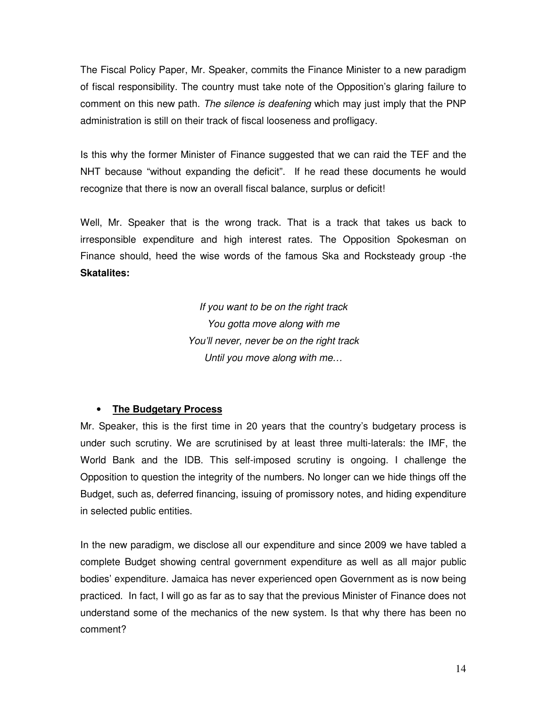The Fiscal Policy Paper, Mr. Speaker, commits the Finance Minister to a new paradigm of fiscal responsibility. The country must take note of the Opposition's glaring failure to comment on this new path. The silence is deafening which may just imply that the PNP administration is still on their track of fiscal looseness and profligacy.

Is this why the former Minister of Finance suggested that we can raid the TEF and the NHT because "without expanding the deficit". If he read these documents he would recognize that there is now an overall fiscal balance, surplus or deficit!

Well, Mr. Speaker that is the wrong track. That is a track that takes us back to irresponsible expenditure and high interest rates. The Opposition Spokesman on Finance should, heed the wise words of the famous Ska and Rocksteady group -the **Skatalites:** 

> If you want to be on the right track You gotta move along with me You'll never, never be on the right track Until you move along with me…

# • **The Budgetary Process**

Mr. Speaker, this is the first time in 20 years that the country's budgetary process is under such scrutiny. We are scrutinised by at least three multi-laterals: the IMF, the World Bank and the IDB. This self-imposed scrutiny is ongoing. I challenge the Opposition to question the integrity of the numbers. No longer can we hide things off the Budget, such as, deferred financing, issuing of promissory notes, and hiding expenditure in selected public entities.

In the new paradigm, we disclose all our expenditure and since 2009 we have tabled a complete Budget showing central government expenditure as well as all major public bodies' expenditure. Jamaica has never experienced open Government as is now being practiced. In fact, I will go as far as to say that the previous Minister of Finance does not understand some of the mechanics of the new system. Is that why there has been no comment?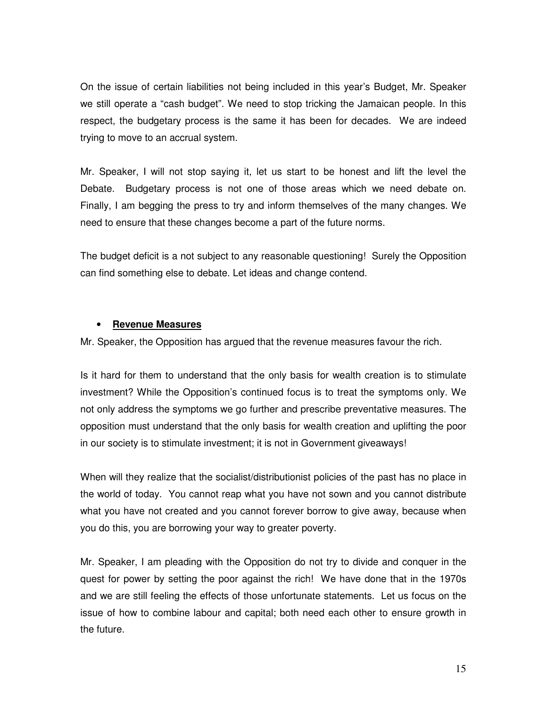On the issue of certain liabilities not being included in this year's Budget, Mr. Speaker we still operate a "cash budget". We need to stop tricking the Jamaican people. In this respect, the budgetary process is the same it has been for decades. We are indeed trying to move to an accrual system.

Mr. Speaker, I will not stop saying it, let us start to be honest and lift the level the Debate. Budgetary process is not one of those areas which we need debate on. Finally, I am begging the press to try and inform themselves of the many changes. We need to ensure that these changes become a part of the future norms.

The budget deficit is a not subject to any reasonable questioning! Surely the Opposition can find something else to debate. Let ideas and change contend.

#### • **Revenue Measures**

Mr. Speaker, the Opposition has argued that the revenue measures favour the rich.

Is it hard for them to understand that the only basis for wealth creation is to stimulate investment? While the Opposition's continued focus is to treat the symptoms only. We not only address the symptoms we go further and prescribe preventative measures. The opposition must understand that the only basis for wealth creation and uplifting the poor in our society is to stimulate investment; it is not in Government giveaways!

When will they realize that the socialist/distributionist policies of the past has no place in the world of today. You cannot reap what you have not sown and you cannot distribute what you have not created and you cannot forever borrow to give away, because when you do this, you are borrowing your way to greater poverty.

Mr. Speaker, I am pleading with the Opposition do not try to divide and conquer in the quest for power by setting the poor against the rich! We have done that in the 1970s and we are still feeling the effects of those unfortunate statements. Let us focus on the issue of how to combine labour and capital; both need each other to ensure growth in the future.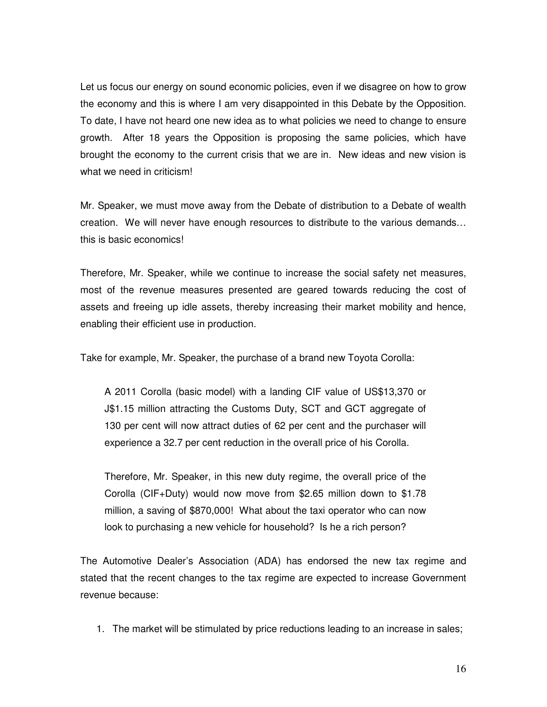Let us focus our energy on sound economic policies, even if we disagree on how to grow the economy and this is where I am very disappointed in this Debate by the Opposition. To date, I have not heard one new idea as to what policies we need to change to ensure growth. After 18 years the Opposition is proposing the same policies, which have brought the economy to the current crisis that we are in. New ideas and new vision is what we need in criticism!

Mr. Speaker, we must move away from the Debate of distribution to a Debate of wealth creation. We will never have enough resources to distribute to the various demands… this is basic economics!

Therefore, Mr. Speaker, while we continue to increase the social safety net measures, most of the revenue measures presented are geared towards reducing the cost of assets and freeing up idle assets, thereby increasing their market mobility and hence, enabling their efficient use in production.

Take for example, Mr. Speaker, the purchase of a brand new Toyota Corolla:

A 2011 Corolla (basic model) with a landing CIF value of US\$13,370 or J\$1.15 million attracting the Customs Duty, SCT and GCT aggregate of 130 per cent will now attract duties of 62 per cent and the purchaser will experience a 32.7 per cent reduction in the overall price of his Corolla.

Therefore, Mr. Speaker, in this new duty regime, the overall price of the Corolla (CIF+Duty) would now move from \$2.65 million down to \$1.78 million, a saving of \$870,000! What about the taxi operator who can now look to purchasing a new vehicle for household? Is he a rich person?

The Automotive Dealer's Association (ADA) has endorsed the new tax regime and stated that the recent changes to the tax regime are expected to increase Government revenue because:

1. The market will be stimulated by price reductions leading to an increase in sales;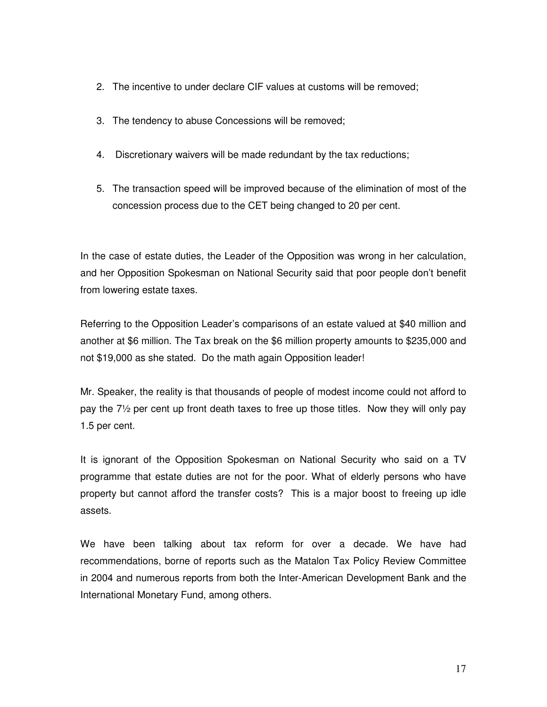- 2. The incentive to under declare CIF values at customs will be removed;
- 3. The tendency to abuse Concessions will be removed;
- 4. Discretionary waivers will be made redundant by the tax reductions;
- 5. The transaction speed will be improved because of the elimination of most of the concession process due to the CET being changed to 20 per cent.

In the case of estate duties, the Leader of the Opposition was wrong in her calculation, and her Opposition Spokesman on National Security said that poor people don't benefit from lowering estate taxes.

Referring to the Opposition Leader's comparisons of an estate valued at \$40 million and another at \$6 million. The Tax break on the \$6 million property amounts to \$235,000 and not \$19,000 as she stated. Do the math again Opposition leader!

Mr. Speaker, the reality is that thousands of people of modest income could not afford to pay the 7½ per cent up front death taxes to free up those titles. Now they will only pay 1.5 per cent.

It is ignorant of the Opposition Spokesman on National Security who said on a TV programme that estate duties are not for the poor. What of elderly persons who have property but cannot afford the transfer costs? This is a major boost to freeing up idle assets.

We have been talking about tax reform for over a decade. We have had recommendations, borne of reports such as the Matalon Tax Policy Review Committee in 2004 and numerous reports from both the Inter-American Development Bank and the International Monetary Fund, among others.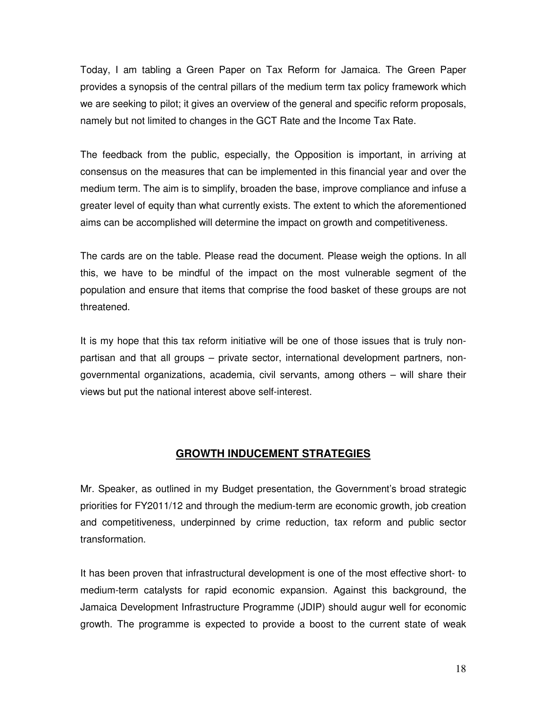Today, I am tabling a Green Paper on Tax Reform for Jamaica. The Green Paper provides a synopsis of the central pillars of the medium term tax policy framework which we are seeking to pilot; it gives an overview of the general and specific reform proposals, namely but not limited to changes in the GCT Rate and the Income Tax Rate.

The feedback from the public, especially, the Opposition is important, in arriving at consensus on the measures that can be implemented in this financial year and over the medium term. The aim is to simplify, broaden the base, improve compliance and infuse a greater level of equity than what currently exists. The extent to which the aforementioned aims can be accomplished will determine the impact on growth and competitiveness.

The cards are on the table. Please read the document. Please weigh the options. In all this, we have to be mindful of the impact on the most vulnerable segment of the population and ensure that items that comprise the food basket of these groups are not threatened.

It is my hope that this tax reform initiative will be one of those issues that is truly nonpartisan and that all groups – private sector, international development partners, nongovernmental organizations, academia, civil servants, among others – will share their views but put the national interest above self-interest.

# **GROWTH INDUCEMENT STRATEGIES**

Mr. Speaker, as outlined in my Budget presentation, the Government's broad strategic priorities for FY2011/12 and through the medium-term are economic growth, job creation and competitiveness, underpinned by crime reduction, tax reform and public sector transformation.

It has been proven that infrastructural development is one of the most effective short- to medium-term catalysts for rapid economic expansion. Against this background, the Jamaica Development Infrastructure Programme (JDIP) should augur well for economic growth. The programme is expected to provide a boost to the current state of weak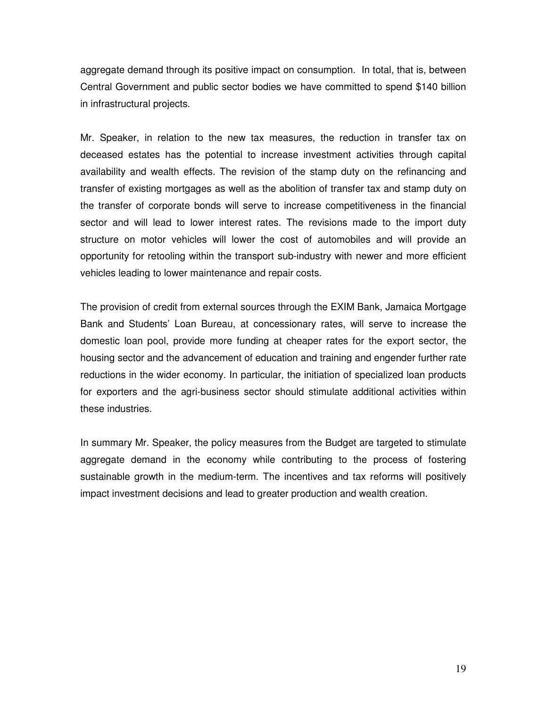aggregate demand through its positive impact on consumption. In total, that is, between Central Government and public sector bodies we have committed to spend \$140 billion in infrastructural projects.

Mr. Speaker, in relation to the new tax measures, the reduction in transfer tax on deceased estates has the potential to increase investment activities through capital availability and wealth effects. The revision of the stamp duty on the refinancing and transfer of existing mortgages as well as the abolition of transfer tax and stamp duty on the transfer of corporate bonds will serve to increase competitiveness in the financial sector and will lead to lower interest rates. The revisions made to the import duty structure on motor vehicles will lower the cost of automobiles and will provide an opportunity for retooling within the transport sub-industry with newer and more efficient vehicles leading to lower maintenance and repair costs.

The provision of credit from external sources through the EXIM Bank, Jamaica Mortgage Bank and Students' Loan Bureau, at concessionary rates, will serve to increase the domestic loan pool, provide more funding at cheaper rates for the export sector, the housing sector and the advancement of education and training and engender further rate reductions in the wider economy. In particular, the initiation of specialized loan products for exporters and the agri-business sector should stimulate additional activities within these industries.

In summary Mr. Speaker, the policy measures from the Budget are targeted to stimulate aggregate demand in the economy while contributing to the process of fostering sustainable growth in the medium-term. The incentives and tax reforms will positively impact investment decisions and lead to greater production and wealth creation.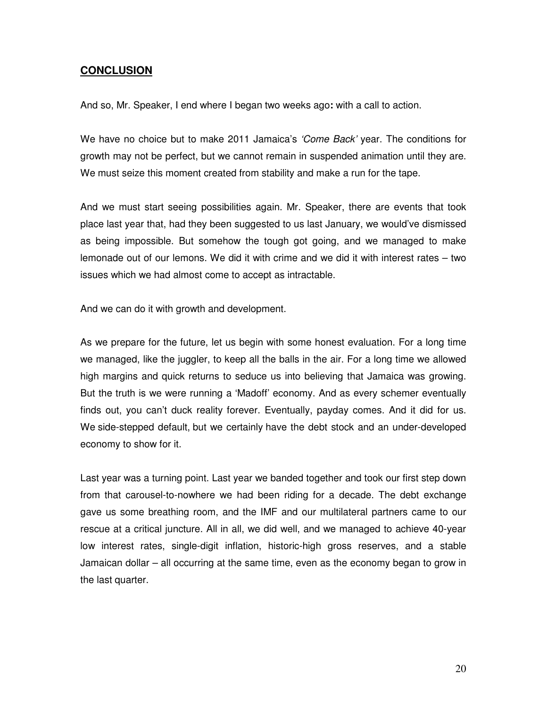# **CONCLUSION**

And so, Mr. Speaker, I end where I began two weeks ago**:** with a call to action.

We have no choice but to make 2011 Jamaica's *'Come Back'* year. The conditions for growth may not be perfect, but we cannot remain in suspended animation until they are. We must seize this moment created from stability and make a run for the tape.

And we must start seeing possibilities again. Mr. Speaker, there are events that took place last year that, had they been suggested to us last January, we would've dismissed as being impossible. But somehow the tough got going, and we managed to make lemonade out of our lemons. We did it with crime and we did it with interest rates – two issues which we had almost come to accept as intractable.

And we can do it with growth and development.

As we prepare for the future, let us begin with some honest evaluation. For a long time we managed, like the juggler, to keep all the balls in the air. For a long time we allowed high margins and quick returns to seduce us into believing that Jamaica was growing. But the truth is we were running a 'Madoff' economy. And as every schemer eventually finds out, you can't duck reality forever. Eventually, payday comes. And it did for us. We side-stepped default, but we certainly have the debt stock and an under-developed economy to show for it.

Last year was a turning point. Last year we banded together and took our first step down from that carousel-to-nowhere we had been riding for a decade. The debt exchange gave us some breathing room, and the IMF and our multilateral partners came to our rescue at a critical juncture. All in all, we did well, and we managed to achieve 40-year low interest rates, single-digit inflation, historic-high gross reserves, and a stable Jamaican dollar – all occurring at the same time, even as the economy began to grow in the last quarter.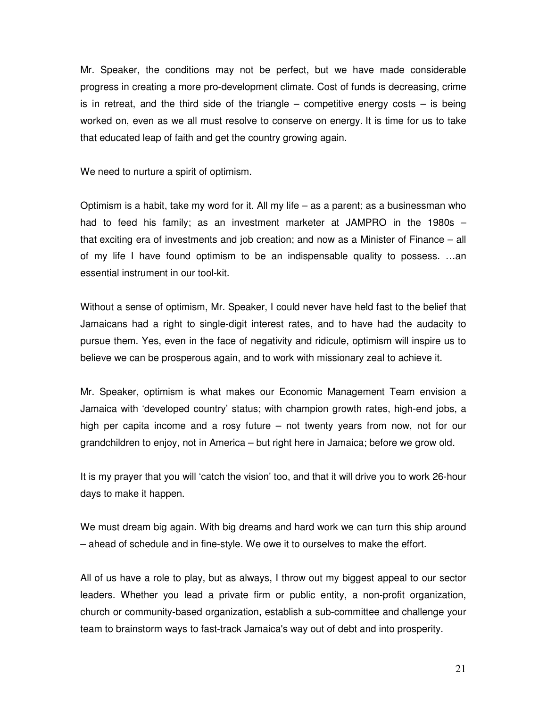Mr. Speaker, the conditions may not be perfect, but we have made considerable progress in creating a more pro-development climate. Cost of funds is decreasing, crime is in retreat, and the third side of the triangle  $-$  competitive energy costs  $-$  is being worked on, even as we all must resolve to conserve on energy. It is time for us to take that educated leap of faith and get the country growing again.

We need to nurture a spirit of optimism.

Optimism is a habit, take my word for it. All my life – as a parent; as a businessman who had to feed his family; as an investment marketer at JAMPRO in the 1980s – that exciting era of investments and job creation; and now as a Minister of Finance – all of my life I have found optimism to be an indispensable quality to possess. …an essential instrument in our tool-kit.

Without a sense of optimism, Mr. Speaker, I could never have held fast to the belief that Jamaicans had a right to single-digit interest rates, and to have had the audacity to pursue them. Yes, even in the face of negativity and ridicule, optimism will inspire us to believe we can be prosperous again, and to work with missionary zeal to achieve it.

Mr. Speaker, optimism is what makes our Economic Management Team envision a Jamaica with 'developed country' status; with champion growth rates, high-end jobs, a high per capita income and a rosy future – not twenty years from now, not for our grandchildren to enjoy, not in America – but right here in Jamaica; before we grow old.

It is my prayer that you will 'catch the vision' too, and that it will drive you to work 26-hour days to make it happen.

We must dream big again. With big dreams and hard work we can turn this ship around – ahead of schedule and in fine-style. We owe it to ourselves to make the effort.

All of us have a role to play, but as always, I throw out my biggest appeal to our sector leaders. Whether you lead a private firm or public entity, a non-profit organization, church or community-based organization, establish a sub-committee and challenge your team to brainstorm ways to fast-track Jamaica's way out of debt and into prosperity.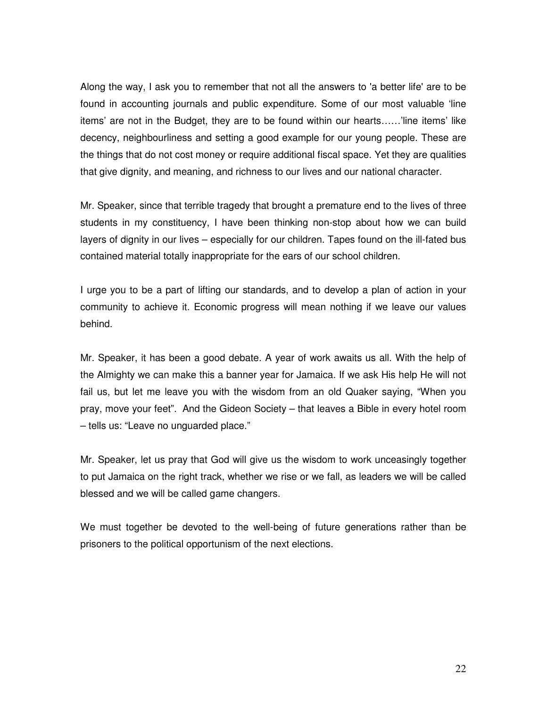Along the way, I ask you to remember that not all the answers to 'a better life' are to be found in accounting journals and public expenditure. Some of our most valuable 'line items' are not in the Budget, they are to be found within our hearts……'line items' like decency, neighbourliness and setting a good example for our young people. These are the things that do not cost money or require additional fiscal space. Yet they are qualities that give dignity, and meaning, and richness to our lives and our national character.

Mr. Speaker, since that terrible tragedy that brought a premature end to the lives of three students in my constituency, I have been thinking non-stop about how we can build layers of dignity in our lives – especially for our children. Tapes found on the ill-fated bus contained material totally inappropriate for the ears of our school children.

I urge you to be a part of lifting our standards, and to develop a plan of action in your community to achieve it. Economic progress will mean nothing if we leave our values behind.

Mr. Speaker, it has been a good debate. A year of work awaits us all. With the help of the Almighty we can make this a banner year for Jamaica. If we ask His help He will not fail us, but let me leave you with the wisdom from an old Quaker saying, "When you pray, move your feet". And the Gideon Society – that leaves a Bible in every hotel room – tells us: "Leave no unguarded place."

Mr. Speaker, let us pray that God will give us the wisdom to work unceasingly together to put Jamaica on the right track, whether we rise or we fall, as leaders we will be called blessed and we will be called game changers.

We must together be devoted to the well-being of future generations rather than be prisoners to the political opportunism of the next elections.